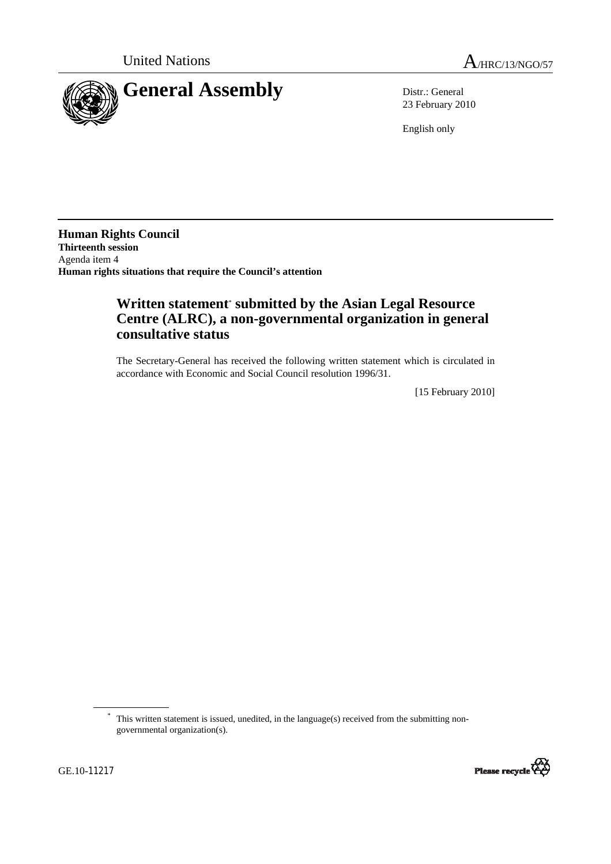

23 February 2010

English only

**Human Rights Council Thirteenth session**  Agenda item 4 **Human rights situations that require the Council's attention** 

## **Written statement**\*  **submitted by the Asian Legal Resource Centre (ALRC), a non-governmental organization in general consultative status**

The Secretary-General has received the following written statement which is circulated in accordance with Economic and Social Council resolution 1996/31.

[15 February 2010]

<sup>\*</sup> This written statement is issued, unedited, in the language(s) received from the submitting nongovernmental organization(s).

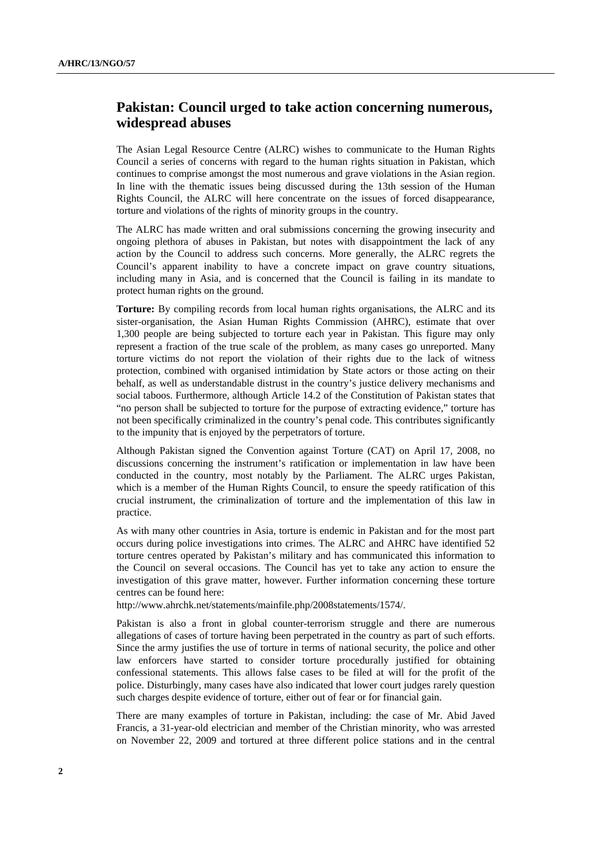## **Pakistan: Council urged to take action concerning numerous, widespread abuses**

The Asian Legal Resource Centre (ALRC) wishes to communicate to the Human Rights Council a series of concerns with regard to the human rights situation in Pakistan, which continues to comprise amongst the most numerous and grave violations in the Asian region. In line with the thematic issues being discussed during the 13th session of the Human Rights Council, the ALRC will here concentrate on the issues of forced disappearance, torture and violations of the rights of minority groups in the country.

The ALRC has made written and oral submissions concerning the growing insecurity and ongoing plethora of abuses in Pakistan, but notes with disappointment the lack of any action by the Council to address such concerns. More generally, the ALRC regrets the Council's apparent inability to have a concrete impact on grave country situations, including many in Asia, and is concerned that the Council is failing in its mandate to protect human rights on the ground.

**Torture:** By compiling records from local human rights organisations, the ALRC and its sister-organisation, the Asian Human Rights Commission (AHRC), estimate that over 1,300 people are being subjected to torture each year in Pakistan. This figure may only represent a fraction of the true scale of the problem, as many cases go unreported. Many torture victims do not report the violation of their rights due to the lack of witness protection, combined with organised intimidation by State actors or those acting on their behalf, as well as understandable distrust in the country's justice delivery mechanisms and social taboos. Furthermore, although Article 14.2 of the Constitution of Pakistan states that "no person shall be subjected to torture for the purpose of extracting evidence," torture has not been specifically criminalized in the country's penal code. This contributes significantly to the impunity that is enjoyed by the perpetrators of torture.

Although Pakistan signed the Convention against Torture (CAT) on April 17, 2008, no discussions concerning the instrument's ratification or implementation in law have been conducted in the country, most notably by the Parliament. The ALRC urges Pakistan, which is a member of the Human Rights Council, to ensure the speedy ratification of this crucial instrument, the criminalization of torture and the implementation of this law in practice.

As with many other countries in Asia, torture is endemic in Pakistan and for the most part occurs during police investigations into crimes. The ALRC and AHRC have identified 52 torture centres operated by Pakistan's military and has communicated this information to the Council on several occasions. The Council has yet to take any action to ensure the investigation of this grave matter, however. Further information concerning these torture centres can be found here:

http://www.ahrchk.net/statements/mainfile.php/2008statements/1574/.

Pakistan is also a front in global counter-terrorism struggle and there are numerous allegations of cases of torture having been perpetrated in the country as part of such efforts. Since the army justifies the use of torture in terms of national security, the police and other law enforcers have started to consider torture procedurally justified for obtaining confessional statements. This allows false cases to be filed at will for the profit of the police. Disturbingly, many cases have also indicated that lower court judges rarely question such charges despite evidence of torture, either out of fear or for financial gain.

There are many examples of torture in Pakistan, including: the case of Mr. Abid Javed Francis, a 31-year-old electrician and member of the Christian minority, who was arrested on November 22, 2009 and tortured at three different police stations and in the central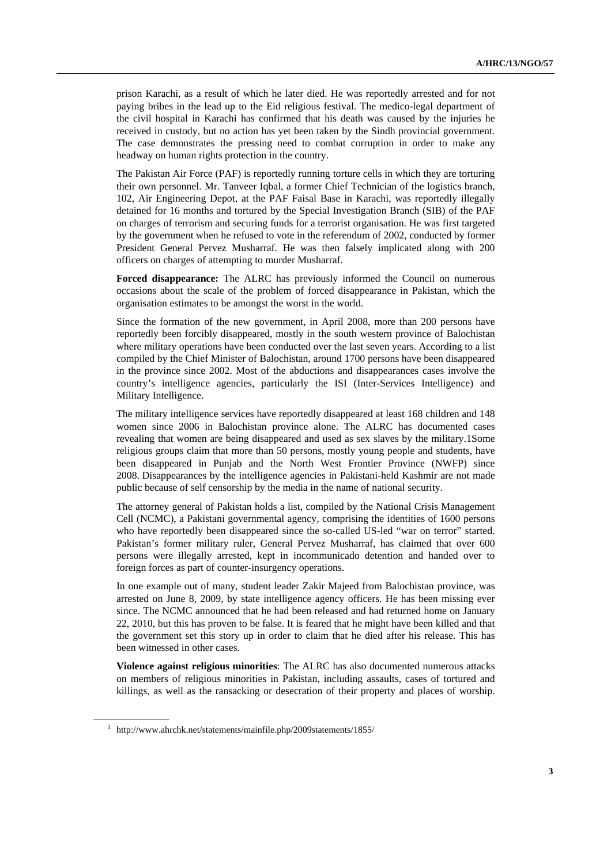prison Karachi, as a result of which he later died. He was reportedly arrested and for not paying bribes in the lead up to the Eid religious festival. The medico-legal department of the civil hospital in Karachi has confirmed that his death was caused by the injuries he received in custody, but no action has yet been taken by the Sindh provincial government. The case demonstrates the pressing need to combat corruption in order to make any headway on human rights protection in the country.

The Pakistan Air Force (PAF) is reportedly running torture cells in which they are torturing their own personnel. Mr. Tanveer Iqbal, a former Chief Technician of the logistics branch, 102, Air Engineering Depot, at the PAF Faisal Base in Karachi, was reportedly illegally detained for 16 months and tortured by the Special Investigation Branch (SIB) of the PAF on charges of terrorism and securing funds for a terrorist organisation. He was first targeted by the government when he refused to vote in the referendum of 2002, conducted by former President General Pervez Musharraf. He was then falsely implicated along with 200 officers on charges of attempting to murder Musharraf.

**Forced disappearance:** The ALRC has previously informed the Council on numerous occasions about the scale of the problem of forced disappearance in Pakistan, which the organisation estimates to be amongst the worst in the world.

Since the formation of the new government, in April 2008, more than 200 persons have reportedly been forcibly disappeared, mostly in the south western province of Balochistan where military operations have been conducted over the last seven years. According to a list compiled by the Chief Minister of Balochistan, around 1700 persons have been disappeared in the province since 2002. Most of the abductions and disappearances cases involve the country's intelligence agencies, particularly the ISI (Inter-Services Intelligence) and Military Intelligence.

The military intelligence services have reportedly disappeared at least 168 children and 148 women since 2006 in Balochistan province alone. The ALRC has documented cases revealing that women are being disappeared and used as sex slaves by the military.1Some religious groups claim that more than 50 persons, mostly young people and students, have been disappeared in Punjab and the North West Frontier Province (NWFP) since 2008. Disappearances by the intelligence agencies in Pakistani-held Kashmir are not made public because of self censorship by the media in the name of national security.

The attorney general of Pakistan holds a list, compiled by the National Crisis Management Cell (NCMC), a Pakistani governmental agency, comprising the identities of 1600 persons who have reportedly been disappeared since the so-called US-led "war on terror" started. Pakistan's former military ruler, General Pervez Musharraf, has claimed that over 600 persons were illegally arrested, kept in incommunicado detention and handed over to foreign forces as part of counter-insurgency operations.

In one example out of many, student leader Zakir Majeed from Balochistan province, was arrested on June 8, 2009, by state intelligence agency officers. He has been missing ever since. The NCMC announced that he had been released and had returned home on January 22, 2010, but this has proven to be false. It is feared that he might have been killed and that the government set this story up in order to claim that he died after his release. This has been witnessed in other cases.

**Violence against religious minorities**: The ALRC has also documented numerous attacks on members of religious minorities in Pakistan, including assaults, cases of tortured and killings, as well as the ransacking or desecration of their property and places of worship.

<sup>&</sup>lt;sup>1</sup> http://www.ahrchk.net/statements/mainfile.php/2009statements/1855/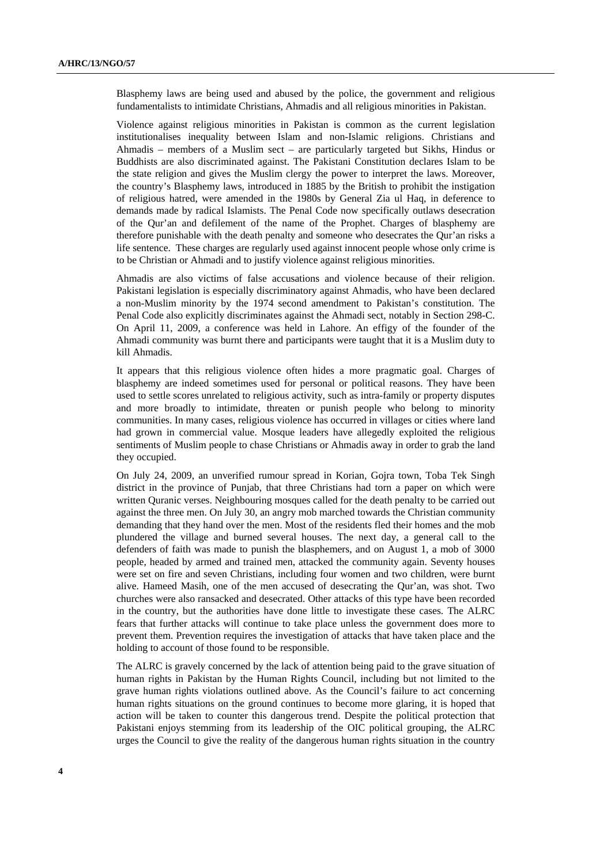Blasphemy laws are being used and abused by the police, the government and religious fundamentalists to intimidate Christians, Ahmadis and all religious minorities in Pakistan.

Violence against religious minorities in Pakistan is common as the current legislation institutionalises inequality between Islam and non-Islamic religions. Christians and Ahmadis – members of a Muslim sect – are particularly targeted but Sikhs, Hindus or Buddhists are also discriminated against. The Pakistani Constitution declares Islam to be the state religion and gives the Muslim clergy the power to interpret the laws. Moreover, the country's Blasphemy laws, introduced in 1885 by the British to prohibit the instigation of religious hatred, were amended in the 1980s by General Zia ul Haq, in deference to demands made by radical Islamists. The Penal Code now specifically outlaws desecration of the Qur'an and defilement of the name of the Prophet. Charges of blasphemy are therefore punishable with the death penalty and someone who desecrates the Qur'an risks a life sentence. These charges are regularly used against innocent people whose only crime is to be Christian or Ahmadi and to justify violence against religious minorities.

Ahmadis are also victims of false accusations and violence because of their religion. Pakistani legislation is especially discriminatory against Ahmadis, who have been declared a non-Muslim minority by the 1974 second amendment to Pakistan's constitution. The Penal Code also explicitly discriminates against the Ahmadi sect, notably in Section 298-C. On April 11, 2009, a conference was held in Lahore. An effigy of the founder of the Ahmadi community was burnt there and participants were taught that it is a Muslim duty to kill Ahmadis.

It appears that this religious violence often hides a more pragmatic goal. Charges of blasphemy are indeed sometimes used for personal or political reasons. They have been used to settle scores unrelated to religious activity, such as intra-family or property disputes and more broadly to intimidate, threaten or punish people who belong to minority communities. In many cases, religious violence has occurred in villages or cities where land had grown in commercial value. Mosque leaders have allegedly exploited the religious sentiments of Muslim people to chase Christians or Ahmadis away in order to grab the land they occupied.

On July 24, 2009, an unverified rumour spread in Korian, Gojra town, Toba Tek Singh district in the province of Punjab, that three Christians had torn a paper on which were written Quranic verses. Neighbouring mosques called for the death penalty to be carried out against the three men. On July 30, an angry mob marched towards the Christian community demanding that they hand over the men. Most of the residents fled their homes and the mob plundered the village and burned several houses. The next day, a general call to the defenders of faith was made to punish the blasphemers, and on August 1, a mob of 3000 people, headed by armed and trained men, attacked the community again. Seventy houses were set on fire and seven Christians, including four women and two children, were burnt alive. Hameed Masih, one of the men accused of desecrating the Qur'an, was shot. Two churches were also ransacked and desecrated. Other attacks of this type have been recorded in the country, but the authorities have done little to investigate these cases. The ALRC fears that further attacks will continue to take place unless the government does more to prevent them. Prevention requires the investigation of attacks that have taken place and the holding to account of those found to be responsible.

The ALRC is gravely concerned by the lack of attention being paid to the grave situation of human rights in Pakistan by the Human Rights Council, including but not limited to the grave human rights violations outlined above. As the Council's failure to act concerning human rights situations on the ground continues to become more glaring, it is hoped that action will be taken to counter this dangerous trend. Despite the political protection that Pakistani enjoys stemming from its leadership of the OIC political grouping, the ALRC urges the Council to give the reality of the dangerous human rights situation in the country